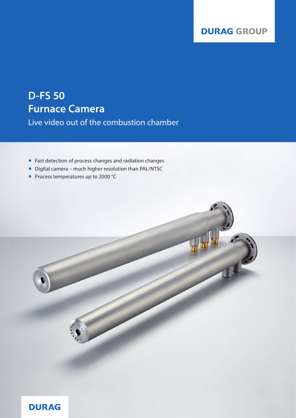## **DURAG GROUP**

# **D-FS 50 Furnace Camera**

Live video out of the combustion chamber

- **Fast detection of process changes and radiation changes**
- Digital camera much higher resolution than PAL/NTSC
- Process temperatures up to 2000 °C